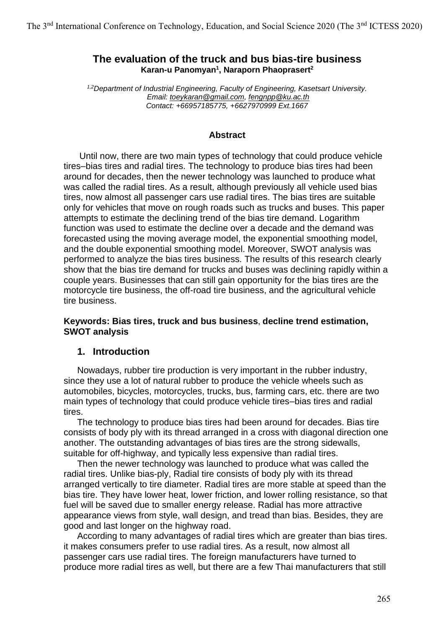# **The evaluation of the truck and bus bias-tire business Karan-u Panomyan<sup>1</sup> , Naraporn Phaoprasert<sup>2</sup>**

*1,2Department of Industrial Engineering, Faculty of Engineering, Kasetsart University. Email: [toeykaran@gmail.com,](mailto:toeykaran@gmail.com) [fengnpp@ku.ac.th](mailto:fengnpp@ku.ac.th) Contact: +66957185775, +6627970999 Ext.1667*

#### **Abstract**

Until now, there are two main types of technology that could produce vehicle tires–bias tires and radial tires. The technology to produce bias tires had been around for decades, then the newer technology was launched to produce what was called the radial tires. As a result, although previously all vehicle used bias tires, now almost all passenger cars use radial tires. The bias tires are suitable only for vehicles that move on rough roads such as trucks and buses. This paper attempts to estimate the declining trend of the bias tire demand. Logarithm function was used to estimate the decline over a decade and the demand was forecasted using the moving average model, the exponential smoothing model, and the double exponential smoothing model. Moreover, SWOT analysis was performed to analyze the bias tires business. The results of this research clearly show that the bias tire demand for trucks and buses was declining rapidly within a couple years. Businesses that can still gain opportunity for the bias tires are the motorcycle tire business, the off-road tire business, and the agricultural vehicle tire business.

### **Keywords: Bias tires, truck and bus business**, **decline trend estimation, SWOT analysis**

# **1. Introduction**

Nowadays, rubber tire production is very important in the rubber industry, since they use a lot of natural rubber to produce the vehicle wheels such as automobiles, bicycles, motorcycles, trucks, bus, farming cars, etc. there are two main types of technology that could produce vehicle tires–bias tires and radial tires.

The technology to produce bias tires had been around for decades. Bias tire consists of body ply with its thread arranged in a cross with diagonal direction one another. The outstanding advantages of bias tires are the strong sidewalls, suitable for off-highway, and typically less expensive than radial tires.

Then the newer technology was launched to produce what was called the radial tires. Unlike bias-ply, Radial tire consists of body ply with its thread arranged vertically to tire diameter. Radial tires are more stable at speed than the bias tire. They have lower heat, lower friction, and lower rolling resistance, so that fuel will be saved due to smaller energy release. Radial has more attractive appearance views from style, wall design, and tread than bias. Besides, they are good and last longer on the highway road.

According to many advantages of radial tires which are greater than bias tires. it makes consumers prefer to use radial tires. As a result, now almost all passenger cars use radial tires. The foreign manufacturers have turned to produce more radial tires as well, but there are a few Thai manufacturers that still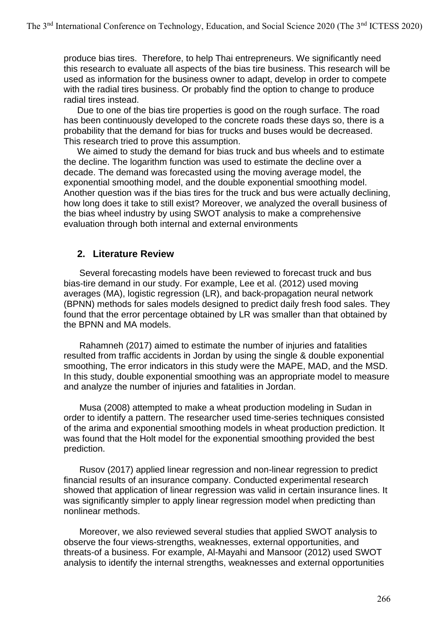produce bias tires. Therefore, to help Thai entrepreneurs. We significantly need this research to evaluate all aspects of the bias tire business. This research will be used as information for the business owner to adapt, develop in order to compete with the radial tires business. Or probably find the option to change to produce radial tires instead.

Due to one of the bias tire properties is good on the rough surface. The road has been continuously developed to the concrete roads these days so, there is a probability that the demand for bias for trucks and buses would be decreased. This research tried to prove this assumption.

We aimed to study the demand for bias truck and bus wheels and to estimate the decline. The logarithm function was used to estimate the decline over a decade. The demand was forecasted using the moving average model, the exponential smoothing model, and the double exponential smoothing model. Another question was if the bias tires for the truck and bus were actually declining, how long does it take to still exist? Moreover, we analyzed the overall business of the bias wheel industry by using SWOT analysis to make a comprehensive evaluation through both internal and external environments

# **2. Literature Review**

Several forecasting models have been reviewed to forecast truck and bus bias-tire demand in our study. For example, Lee et al. (2012) used moving averages (MA), logistic regression (LR), and back-propagation neural network (BPNN) methods for sales models designed to predict daily fresh food sales. They found that the error percentage obtained by LR was smaller than that obtained by the BPNN and MA models.

Rahamneh (2017) aimed to estimate the number of injuries and fatalities resulted from traffic accidents in Jordan by using the single & double exponential smoothing, The error indicators in this study were the MAPE, MAD, and the MSD. In this study, double exponential smoothing was an appropriate model to measure and analyze the number of injuries and fatalities in Jordan.

Musa (2008) attempted to make a wheat production modeling in Sudan in order to identify a pattern. The researcher used time-series techniques consisted of the arima and exponential smoothing models in wheat production prediction. It was found that the Holt model for the exponential smoothing provided the best prediction.

Rusov (2017) applied linear regression and non-linear regression to predict financial results of an insurance company. Conducted experimental research showed that application of linear regression was valid in certain insurance lines. It was significantly simpler to apply linear regression model when predicting than nonlinear methods.

Moreover, we also reviewed several studies that applied SWOT analysis to observe the four views-strengths, weaknesses, external opportunities, and threats-of a business. For example, Al-Mayahi and Mansoor (2012) used SWOT analysis to identify the internal strengths, weaknesses and external opportunities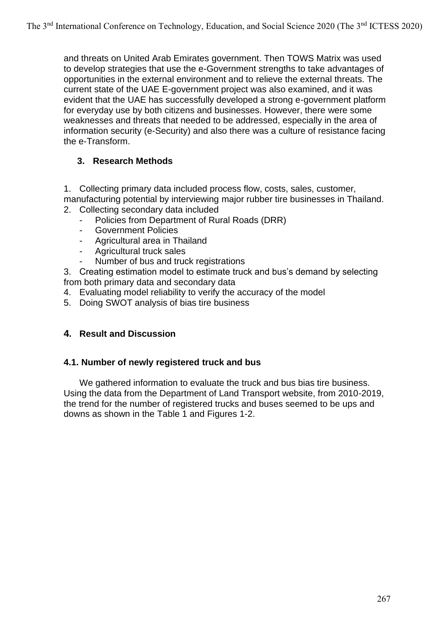and threats on United Arab Emirates government. Then TOWS Matrix was used to develop strategies that use the e-Government strengths to take advantages of opportunities in the external environment and to relieve the external threats. The current state of the UAE E-government project was also examined, and it was evident that the UAE has successfully developed a strong e-government platform for everyday use by both citizens and businesses. However, there were some weaknesses and threats that needed to be addressed, especially in the area of information security (e-Security) and also there was a culture of resistance facing the e-Transform.

# **3. Research Methods**

1. Collecting primary data included process flow, costs, sales, customer, manufacturing potential by interviewing major rubber tire businesses in Thailand.

- 2. Collecting secondary data included
	- Policies from Department of Rural Roads (DRR)
	- Government Policies
	- Agricultural area in Thailand
	- Agricultural truck sales
	- Number of bus and truck registrations

3. Creating estimation model to estimate truck and bus's demand by selecting from both primary data and secondary data

- 4. Evaluating model reliability to verify the accuracy of the model
- 5. Doing SWOT analysis of bias tire business

# **4. Result and Discussion**

# **4.1. Number of newly registered truck and bus**

We gathered information to evaluate the truck and bus bias tire business. Using the data from the Department of Land Transport website, from 2010-2019, the trend for the number of registered trucks and buses seemed to be ups and downs as shown in the Table 1 and Figures 1-2.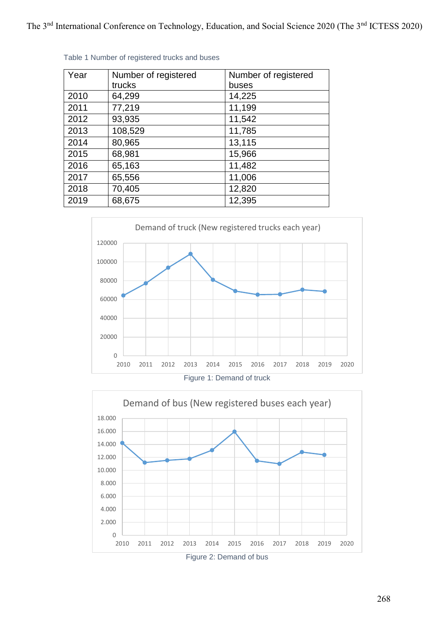| Year | Number of registered | Number of registered |
|------|----------------------|----------------------|
|      | trucks               | buses                |
| 2010 | 64,299               | 14,225               |
| 2011 | 77,219               | 11,199               |
| 2012 | 93,935               | 11,542               |
| 2013 | 108,529              | 11,785               |
| 2014 | 80,965               | 13,115               |
| 2015 | 68,981               | 15,966               |
| 2016 | 65,163               | 11,482               |
| 2017 | 65,556               | 11,006               |
| 2018 | 70,405               | 12,820               |
| 2019 | 68,675               | 12,395               |

Table 1 Number of registered trucks and buses



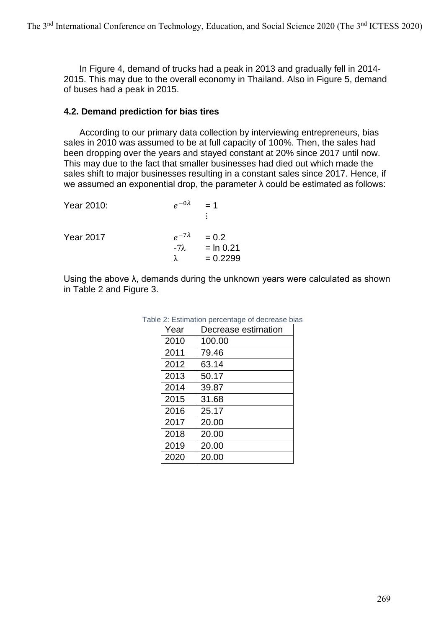In Figure 4, demand of trucks had a peak in 2013 and gradually fell in 2014- 2015. This may due to the overall economy in Thailand. Also in Figure 5, demand of buses had a peak in 2015.

### **4.2. Demand prediction for bias tires**

According to our primary data collection by interviewing entrepreneurs, bias sales in 2010 was assumed to be at full capacity of 100%. Then, the sales had been dropping over the years and stayed constant at 20% since 2017 until now. This may due to the fact that smaller businesses had died out which made the sales shift to major businesses resulting in a constant sales since 2017. Hence, if we assumed an exponential drop, the parameter λ could be estimated as follows:

| Year 2010:       | $e^{-0\lambda}$                             | $= 1$<br>÷                           |
|------------------|---------------------------------------------|--------------------------------------|
| <b>Year 2017</b> | $e^{-7\lambda}$<br>$-7\lambda$<br>$\lambda$ | $= 0.2$<br>$=$ ln 0.21<br>$= 0.2299$ |

Using the above  $\lambda$ , demands during the unknown years were calculated as shown in Table 2 and Figure 3.

| Year | Decrease estimation |
|------|---------------------|
| 2010 | 100.00              |
| 2011 | 79.46               |
| 2012 | 63.14               |
| 2013 | 50.17               |
| 2014 | 39.87               |
| 2015 | 31.68               |
| 2016 | 25.17               |
| 2017 | 20.00               |
| 2018 | 20.00               |
| 2019 | 20.00               |
| 2020 | 20.00               |

#### Table 2: Estimation percentage of decrease bias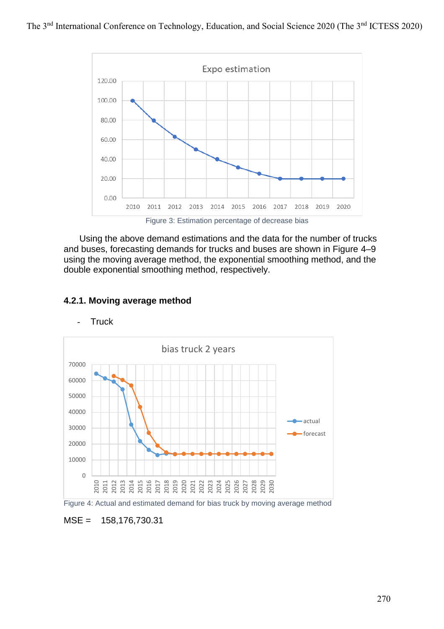

Figure 3: Estimation percentage of decrease bias

Using the above demand estimations and the data for the number of trucks and buses, forecasting demands for trucks and buses are shown in Figure 4–9 using the moving average method, the exponential smoothing method, and the double exponential smoothing method, respectively.



### **4.2.1. Moving average method**

### - Truck



### MSE = 158,176,730.31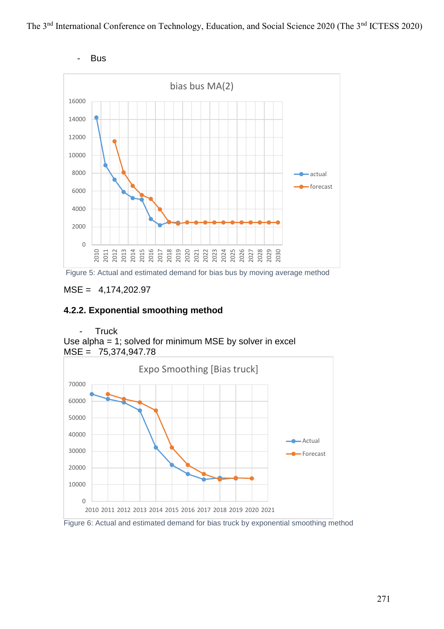



Figure 5: Actual and estimated demand for bias bus by moving average method

# MSE = 4,174,202.97

### **4.2.2. Exponential smoothing method**

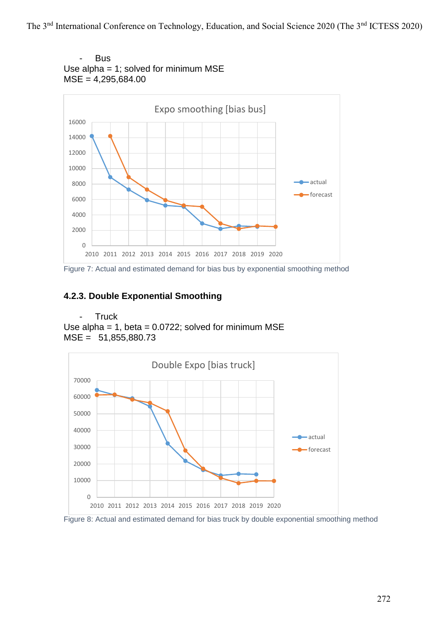

Figure 7: Actual and estimated demand for bias bus by exponential smoothing method

# **4.2.3. Double Exponential Smoothing**

- Truck Use alpha =  $1$ , beta =  $0.0722$ ; solved for minimum MSE MSE = 51,855,880.73



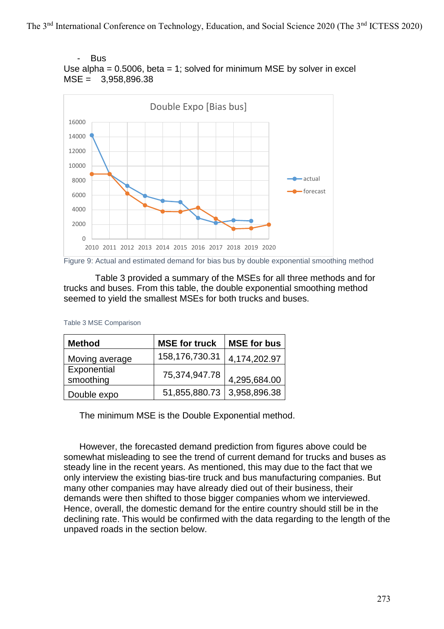



Figure 9: Actual and estimated demand for bias bus by double exponential smoothing method

Table 3 provided a summary of the MSEs for all three methods and for trucks and buses. From this table, the double exponential smoothing method seemed to yield the smallest MSEs for both trucks and buses.

| <b>Method</b>            | <b>MSE for truck</b> | <b>MSE for bus</b> |  |
|--------------------------|----------------------|--------------------|--|
| Moving average           | 158,176,730.31       | 4,174,202.97       |  |
| Exponential<br>smoothing | 75,374,947.78        | 4,295,684.00       |  |
| Double expo              | 51,855,880.73        | 3,958,896.38       |  |

Table 3 MSE Comparison

The minimum MSE is the Double Exponential method.

However, the forecasted demand prediction from figures above could be somewhat misleading to see the trend of current demand for trucks and buses as steady line in the recent years. As mentioned, this may due to the fact that we only interview the existing bias-tire truck and bus manufacturing companies. But many other companies may have already died out of their business, their demands were then shifted to those bigger companies whom we interviewed. Hence, overall, the domestic demand for the entire country should still be in the declining rate. This would be confirmed with the data regarding to the length of the unpaved roads in the section below.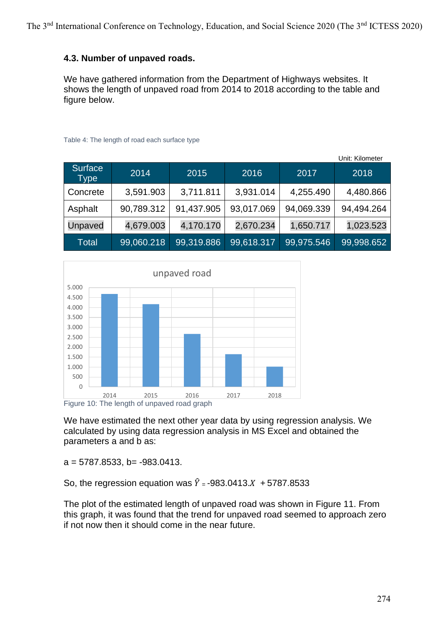# **4.3. Number of unpaved roads.**

We have gathered information from the Department of Highways websites. It shows the length of unpaved road from 2014 to 2018 according to the table and figure below.

|                 |            |            |                         |            | Unit: Kilometer |
|-----------------|------------|------------|-------------------------|------------|-----------------|
| Surface<br>Type | 2014       | 2015       | 2016                    | 2017       | 2018            |
| Concrete        | 3,591.903  | 3,711.811  | 3,931.014               | 4,255.490  | 4,480.866       |
| Asphalt         | 90,789.312 | 91,437.905 | 93,017.069              | 94,069.339 | 94,494.264      |
| Unpaved         | 4,679.003  | 4,170.170  | 2,670.234               | 1,650.717  | 1,023.523       |
| Total           | 99,060.218 | 99,319.886 | $\overline{99,618.317}$ | 99,975.546 | 99,998.652      |

Table 4: The length of road each surface type



We have estimated the next other year data by using regression analysis. We calculated by using data regression analysis in MS Excel and obtained the parameters a and b as:

 $a = 5787.8533$ ,  $b = -983.0413$ .

So, the regression equation was  $\hat{Y} = -983.0413 \cdot X + 5787.8533$ 

The plot of the estimated length of unpaved road was shown in Figure 11. From this graph, it was found that the trend for unpaved road seemed to approach zero if not now then it should come in the near future.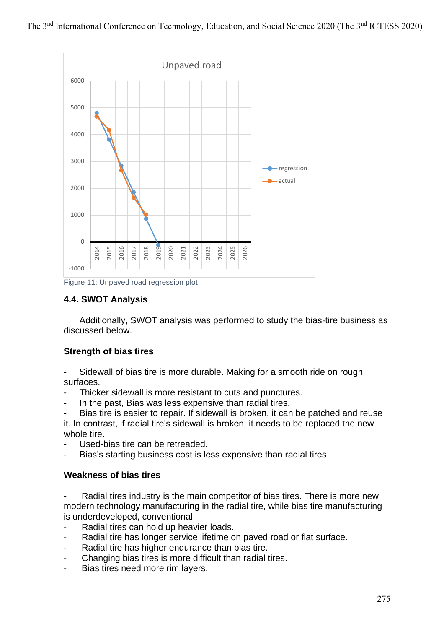

Figure 11: Unpaved road regression plot

# **4.4. SWOT Analysis**

Additionally, SWOT analysis was performed to study the bias-tire business as discussed below.

### **Strength of bias tires**

Sidewall of bias tire is more durable. Making for a smooth ride on rough surfaces.

- Thicker sidewall is more resistant to cuts and punctures.
- In the past, Bias was less expensive than radial tires.

Bias tire is easier to repair. If sidewall is broken, it can be patched and reuse it. In contrast, if radial tire's sidewall is broken, it needs to be replaced the new whole tire

- Used-bias tire can be retreaded.
- Bias's starting business cost is less expensive than radial tires

### **Weakness of bias tires**

Radial tires industry is the main competitor of bias tires. There is more new modern technology manufacturing in the radial tire, while bias tire manufacturing is underdeveloped, conventional.

- Radial tires can hold up heavier loads.
- Radial tire has longer service lifetime on paved road or flat surface.
- Radial tire has higher endurance than bias tire.
- Changing bias tires is more difficult than radial tires.
- Bias tires need more rim layers.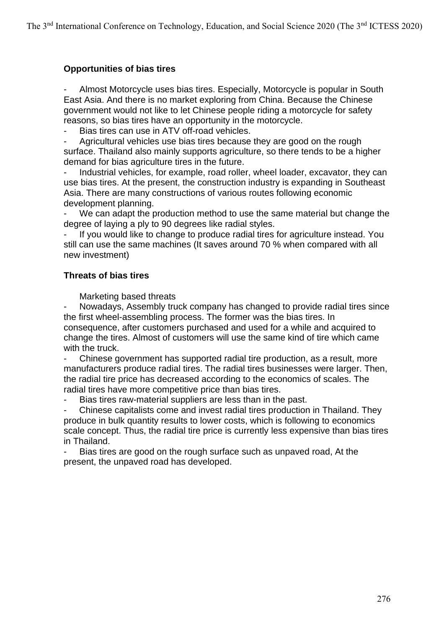# **Opportunities of bias tires**

Almost Motorcycle uses bias tires. Especially, Motorcycle is popular in South East Asia. And there is no market exploring from China. Because the Chinese government would not like to let Chinese people riding a motorcycle for safety reasons, so bias tires have an opportunity in the motorcycle.

Bias tires can use in ATV off-road vehicles.

Agricultural vehicles use bias tires because they are good on the rough surface. Thailand also mainly supports agriculture, so there tends to be a higher demand for bias agriculture tires in the future.

Industrial vehicles, for example, road roller, wheel loader, excavator, they can use bias tires. At the present, the construction industry is expanding in Southeast Asia. There are many constructions of various routes following economic development planning.

We can adapt the production method to use the same material but change the degree of laying a ply to 90 degrees like radial styles.

If you would like to change to produce radial tires for agriculture instead. You still can use the same machines (It saves around 70 % when compared with all new investment)

### **Threats of bias tires**

Marketing based threats

Nowadays, Assembly truck company has changed to provide radial tires since the first wheel-assembling process. The former was the bias tires. In consequence, after customers purchased and used for a while and acquired to change the tires. Almost of customers will use the same kind of tire which came with the truck.

Chinese government has supported radial tire production, as a result, more manufacturers produce radial tires. The radial tires businesses were larger. Then, the radial tire price has decreased according to the economics of scales. The radial tires have more competitive price than bias tires.

Bias tires raw-material suppliers are less than in the past.

- Chinese capitalists come and invest radial tires production in Thailand. They produce in bulk quantity results to lower costs, which is following to economics scale concept. Thus, the radial tire price is currently less expensive than bias tires in Thailand.

Bias tires are good on the rough surface such as unpaved road, At the present, the unpaved road has developed.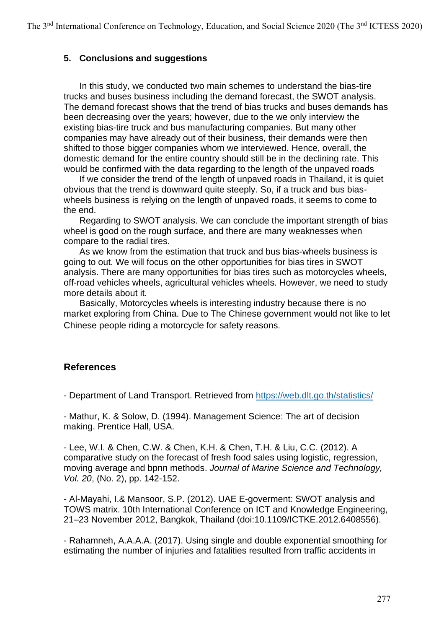### **5. Conclusions and suggestions**

In this study, we conducted two main schemes to understand the bias-tire trucks and buses business including the demand forecast, the SWOT analysis. The demand forecast shows that the trend of bias trucks and buses demands has been decreasing over the years; however, due to the we only interview the existing bias-tire truck and bus manufacturing companies. But many other companies may have already out of their business, their demands were then shifted to those bigger companies whom we interviewed. Hence, overall, the domestic demand for the entire country should still be in the declining rate. This would be confirmed with the data regarding to the length of the unpaved roads

If we consider the trend of the length of unpaved roads in Thailand, it is quiet obvious that the trend is downward quite steeply. So, if a truck and bus biaswheels business is relying on the length of unpaved roads, it seems to come to the end.

Regarding to SWOT analysis. We can conclude the important strength of bias wheel is good on the rough surface, and there are many weaknesses when compare to the radial tires.

As we know from the estimation that truck and bus bias-wheels business is going to out. We will focus on the other opportunities for bias tires in SWOT analysis. There are many opportunities for bias tires such as motorcycles wheels, off-road vehicles wheels, agricultural vehicles wheels. However, we need to study more details about it.

Basically, Motorcycles wheels is interesting industry because there is no market exploring from China. Due to The Chinese government would not like to let Chinese people riding a motorcycle for safety reasons.

# **References**

- Department of Land Transport. Retrieved from <https://web.dlt.go.th/statistics/>

- Mathur, K. & Solow, D. (1994). Management Science: The art of decision making. Prentice Hall, USA.

- Lee, W.I. & Chen, C.W. & Chen, K.H. & Chen, T.H. & Liu, C.C. (2012). A comparative study on the forecast of fresh food sales using logistic, regression, moving average and bpnn methods. *Journal of Marine Science and Technology, Vol. 20*, (No. 2), pp. 142-152.

- Al-Mayahi, I.& Mansoor, S.P. (2012). UAE E-goverment: SWOT analysis and TOWS matrix. 10th International Conference on ICT and Knowledge Engineering, 21–23 November 2012, Bangkok, Thailand (doi:10.1109/ICTKE.2012.6408556).

- Rahamneh, A.A.A.A. (2017). Using single and double exponential smoothing for estimating the number of injuries and fatalities resulted from traffic accidents in